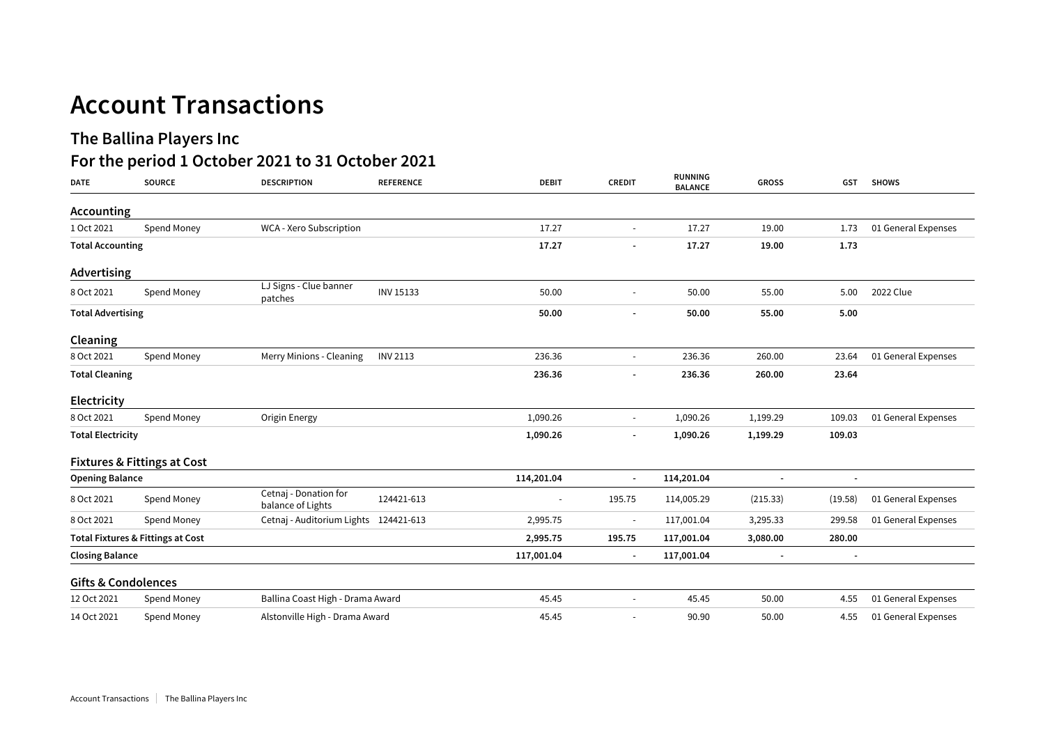## **Account Transactions**

## **The Ballina Players Inc**

## **For the period 1 October 2021 to 31 October 2021**

| <b>DATE</b>                    | <b>SOURCE</b>                                | <b>DESCRIPTION</b>                         | <b>REFERENCE</b> | <b>DEBIT</b>             | <b>CREDIT</b>            | RUNNING<br><b>BALANCE</b> | <b>GROSS</b>   | <b>GST</b> | <b>SHOWS</b>        |
|--------------------------------|----------------------------------------------|--------------------------------------------|------------------|--------------------------|--------------------------|---------------------------|----------------|------------|---------------------|
| <b>Accounting</b>              |                                              |                                            |                  |                          |                          |                           |                |            |                     |
| 1 Oct 2021                     | Spend Money                                  | WCA - Xero Subscription                    |                  | 17.27                    | $\sim$                   | 17.27                     | 19.00          | 1.73       | 01 General Expenses |
| <b>Total Accounting</b>        |                                              |                                            | 17.27            |                          | 17.27                    | 19.00                     | 1.73           |            |                     |
| Advertising                    |                                              |                                            |                  |                          |                          |                           |                |            |                     |
| 8 Oct 2021                     | Spend Money                                  | LJ Signs - Clue banner<br>patches          | <b>INV 15133</b> | 50.00                    |                          | 50.00                     | 55.00          | 5.00       | 2022 Clue           |
| <b>Total Advertising</b>       |                                              |                                            |                  | 50.00                    |                          | 50.00                     | 55.00          | 5.00       |                     |
| Cleaning                       |                                              |                                            |                  |                          |                          |                           |                |            |                     |
| 8 Oct 2021                     | Spend Money                                  | Merry Minions - Cleaning                   | <b>INV 2113</b>  | 236.36                   | $\sim$                   | 236.36                    | 260.00         | 23.64      | 01 General Expenses |
| <b>Total Cleaning</b>          |                                              |                                            |                  | 236.36                   |                          | 236.36                    | 260.00         | 23.64      |                     |
| Electricity                    |                                              |                                            |                  |                          |                          |                           |                |            |                     |
| 8 Oct 2021                     | Spend Money                                  | Origin Energy                              |                  | 1,090.26                 | $\sim$                   | 1,090.26                  | 1,199.29       | 109.03     | 01 General Expenses |
| <b>Total Electricity</b>       |                                              |                                            |                  | 1,090.26                 | $\overline{\phantom{a}}$ | 1,090.26                  | 1,199.29       | 109.03     |                     |
|                                | <b>Fixtures &amp; Fittings at Cost</b>       |                                            |                  |                          |                          |                           |                |            |                     |
| <b>Opening Balance</b>         |                                              |                                            |                  | 114,201.04               | $\blacksquare$           | 114,201.04                | $\overline{a}$ |            |                     |
| 8 Oct 2021                     | Spend Money                                  | Cetnaj - Donation for<br>balance of Lights | 124421-613       | $\overline{\phantom{a}}$ | 195.75                   | 114,005.29                | (215.33)       | (19.58)    | 01 General Expenses |
| 8 Oct 2021                     | Spend Money                                  | Cetnaj - Auditorium Lights 124421-613      |                  | 2,995.75                 |                          | 117,001.04                | 3,295.33       | 299.58     | 01 General Expenses |
|                                | <b>Total Fixtures &amp; Fittings at Cost</b> |                                            |                  | 2,995.75                 | 195.75                   | 117,001.04                | 3,080.00       | 280.00     |                     |
| <b>Closing Balance</b>         |                                              |                                            |                  | 117,001.04               | $\blacksquare$           | 117,001.04                |                |            |                     |
| <b>Gifts &amp; Condolences</b> |                                              |                                            |                  |                          |                          |                           |                |            |                     |
| 12 Oct 2021                    | Spend Money                                  | Ballina Coast High - Drama Award           |                  | 45.45                    |                          | 45.45                     | 50.00          | 4.55       | 01 General Expenses |
| 14 Oct 2021                    | Spend Money                                  | Alstonville High - Drama Award             |                  | 45.45                    |                          | 90.90                     | 50.00          | 4.55       | 01 General Expenses |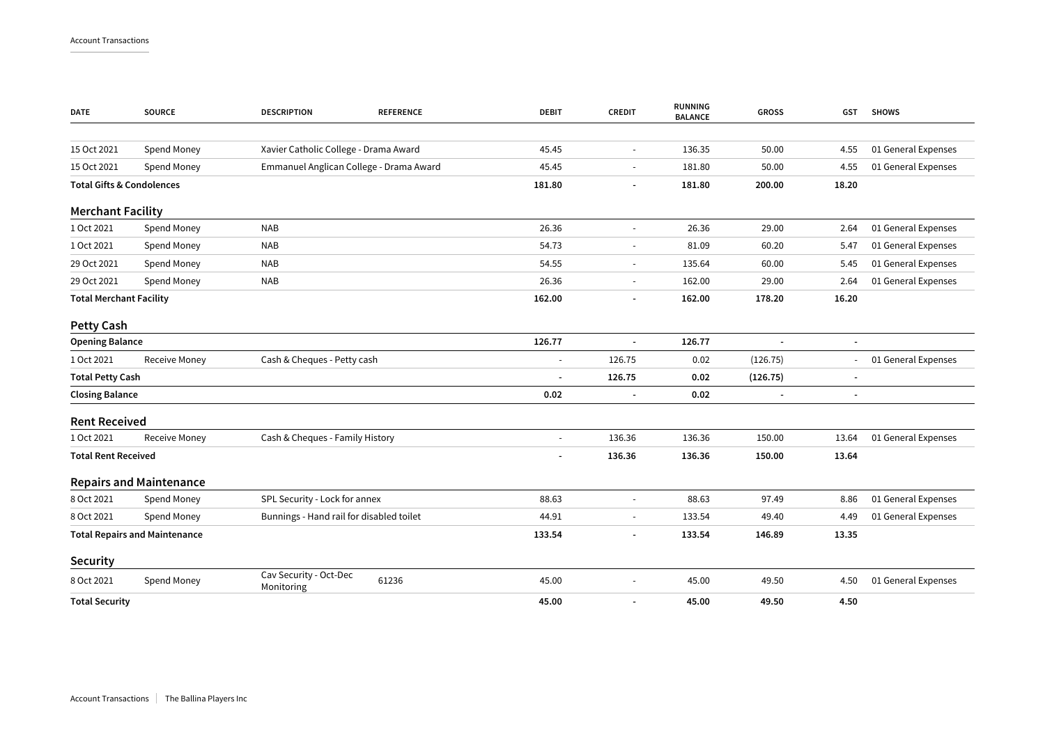| <b>DATE</b>                          | <b>SOURCE</b>                  | <b>DESCRIPTION</b><br><b>REFERENCE</b>        | <b>DEBIT</b>   | <b>CREDIT</b>            | RUNNING<br><b>BALANCE</b> | <b>GROSS</b> | <b>GST</b>               | <b>SHOWS</b>        |
|--------------------------------------|--------------------------------|-----------------------------------------------|----------------|--------------------------|---------------------------|--------------|--------------------------|---------------------|
|                                      |                                |                                               |                |                          |                           |              |                          |                     |
| 15 Oct 2021                          | Spend Money                    | Xavier Catholic College - Drama Award         | 45.45          | $\blacksquare$           | 136.35                    | 50.00        | 4.55                     | 01 General Expenses |
| 15 Oct 2021                          | Spend Money                    | Emmanuel Anglican College - Drama Award       | 45.45          | $\overline{a}$           | 181.80                    | 50.00        | 4.55                     | 01 General Expenses |
| <b>Total Gifts &amp; Condolences</b> |                                |                                               | 181.80         |                          | 181.80                    | 200.00       | 18.20                    |                     |
| <b>Merchant Facility</b>             |                                |                                               |                |                          |                           |              |                          |                     |
| 1 Oct 2021                           | Spend Money                    | <b>NAB</b>                                    | 26.36          | ÷,                       | 26.36                     | 29.00        | 2.64                     | 01 General Expenses |
| 1 Oct 2021                           | Spend Money                    | <b>NAB</b>                                    | 54.73          | $\overline{a}$           | 81.09                     | 60.20        | 5.47                     | 01 General Expenses |
| 29 Oct 2021                          | Spend Money                    | <b>NAB</b>                                    | 54.55          | $\blacksquare$           | 135.64                    | 60.00        | 5.45                     | 01 General Expenses |
| 29 Oct 2021                          | Spend Money                    | <b>NAB</b>                                    | 26.36          | $\blacksquare$           | 162.00                    | 29.00        | 2.64                     | 01 General Expenses |
| <b>Total Merchant Facility</b>       |                                |                                               | 162.00         |                          | 162.00                    | 178.20       | 16.20                    |                     |
| <b>Petty Cash</b>                    |                                |                                               |                |                          |                           |              |                          |                     |
| <b>Opening Balance</b>               |                                |                                               | 126.77         | $\overline{\phantom{a}}$ | 126.77                    |              | $\blacksquare$           |                     |
| 1 Oct 2021                           | Receive Money                  | Cash & Cheques - Petty cash                   | $\blacksquare$ | 126.75                   | 0.02                      | (126.75)     | $\overline{\phantom{m}}$ | 01 General Expenses |
| <b>Total Petty Cash</b>              |                                |                                               | ä,             | 126.75                   | 0.02                      | (126.75)     | $\overline{\phantom{a}}$ |                     |
| <b>Closing Balance</b>               |                                |                                               | 0.02           | $\blacksquare$           | 0.02                      |              | $\overline{\phantom{a}}$ |                     |
| <b>Rent Received</b>                 |                                |                                               |                |                          |                           |              |                          |                     |
| 1 Oct 2021                           | Receive Money                  | Cash & Cheques - Family History               | $\blacksquare$ | 136.36                   | 136.36                    | 150.00       | 13.64                    | 01 General Expenses |
| <b>Total Rent Received</b>           |                                |                                               | ۰              | 136.36                   | 136.36                    | 150.00       | 13.64                    |                     |
|                                      | <b>Repairs and Maintenance</b> |                                               |                |                          |                           |              |                          |                     |
| 8 Oct 2021                           | Spend Money                    | SPL Security - Lock for annex                 | 88.63          | L,                       | 88.63                     | 97.49        | 8.86                     | 01 General Expenses |
| 8 Oct 2021                           | Spend Money                    | Bunnings - Hand rail for disabled toilet      | 44.91          | $\overline{a}$           | 133.54                    | 49.40        | 4.49                     | 01 General Expenses |
| <b>Total Repairs and Maintenance</b> |                                |                                               | 133.54         |                          | 133.54                    | 146.89       | 13.35                    |                     |
| Security                             |                                |                                               |                |                          |                           |              |                          |                     |
| 8 Oct 2021                           | Spend Money                    | Cav Security - Oct-Dec<br>61236<br>Monitoring | 45.00          | $\overline{a}$           | 45.00                     | 49.50        | 4.50                     | 01 General Expenses |
| <b>Total Security</b>                |                                |                                               | 45.00          | ٠                        | 45.00                     | 49.50        | 4.50                     |                     |